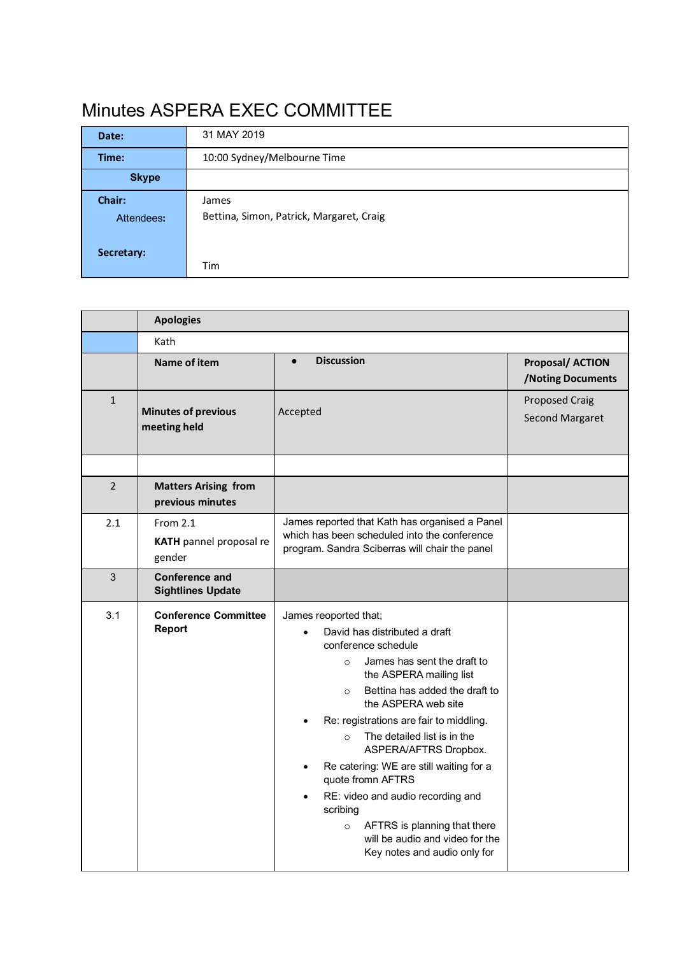## Minutes ASPERA EXEC COMMITTEE

| Date:        | 31 MAY 2019                              |  |  |
|--------------|------------------------------------------|--|--|
| Time:        | 10:00 Sydney/Melbourne Time              |  |  |
| <b>Skype</b> |                                          |  |  |
| Chair:       | James                                    |  |  |
| Attendees:   | Bettina, Simon, Patrick, Margaret, Craig |  |  |
|              |                                          |  |  |
| Secretary:   |                                          |  |  |
|              | Tim                                      |  |  |

|                | <b>Apologies</b>                                |                                                                                                                                                                                                                                                                                                                                                                                                                                                                                                                                                                                  |                                             |  |  |
|----------------|-------------------------------------------------|----------------------------------------------------------------------------------------------------------------------------------------------------------------------------------------------------------------------------------------------------------------------------------------------------------------------------------------------------------------------------------------------------------------------------------------------------------------------------------------------------------------------------------------------------------------------------------|---------------------------------------------|--|--|
|                | Kath                                            |                                                                                                                                                                                                                                                                                                                                                                                                                                                                                                                                                                                  |                                             |  |  |
|                | Name of item                                    | <b>Discussion</b><br>$\bullet$                                                                                                                                                                                                                                                                                                                                                                                                                                                                                                                                                   | <b>Proposal/ACTION</b><br>/Noting Documents |  |  |
| $\mathbf{1}$   | <b>Minutes of previous</b><br>meeting held      | Accepted                                                                                                                                                                                                                                                                                                                                                                                                                                                                                                                                                                         | <b>Proposed Craig</b><br>Second Margaret    |  |  |
|                |                                                 |                                                                                                                                                                                                                                                                                                                                                                                                                                                                                                                                                                                  |                                             |  |  |
| $\overline{2}$ | <b>Matters Arising from</b><br>previous minutes |                                                                                                                                                                                                                                                                                                                                                                                                                                                                                                                                                                                  |                                             |  |  |
| 2.1            | From 2.1<br>KATH pannel proposal re<br>gender   | James reported that Kath has organised a Panel<br>which has been scheduled into the conference<br>program. Sandra Sciberras will chair the panel                                                                                                                                                                                                                                                                                                                                                                                                                                 |                                             |  |  |
| $\mathbf{3}$   | Conference and<br><b>Sightlines Update</b>      |                                                                                                                                                                                                                                                                                                                                                                                                                                                                                                                                                                                  |                                             |  |  |
| 3.1            | <b>Conference Committee</b><br>Report           | James reoported that;<br>David has distributed a draft<br>conference schedule<br>James has sent the draft to<br>$\circ$<br>the ASPERA mailing list<br>Bettina has added the draft to<br>$\circ$<br>the ASPERA web site<br>Re: registrations are fair to middling.<br>The detailed list is in the<br>$\circ$<br>ASPERA/AFTRS Dropbox.<br>Re catering: WE are still waiting for a<br>$\bullet$<br>quote fromn AFTRS<br>RE: video and audio recording and<br>scribing<br>AFTRS is planning that there<br>$\circ$<br>will be audio and video for the<br>Key notes and audio only for |                                             |  |  |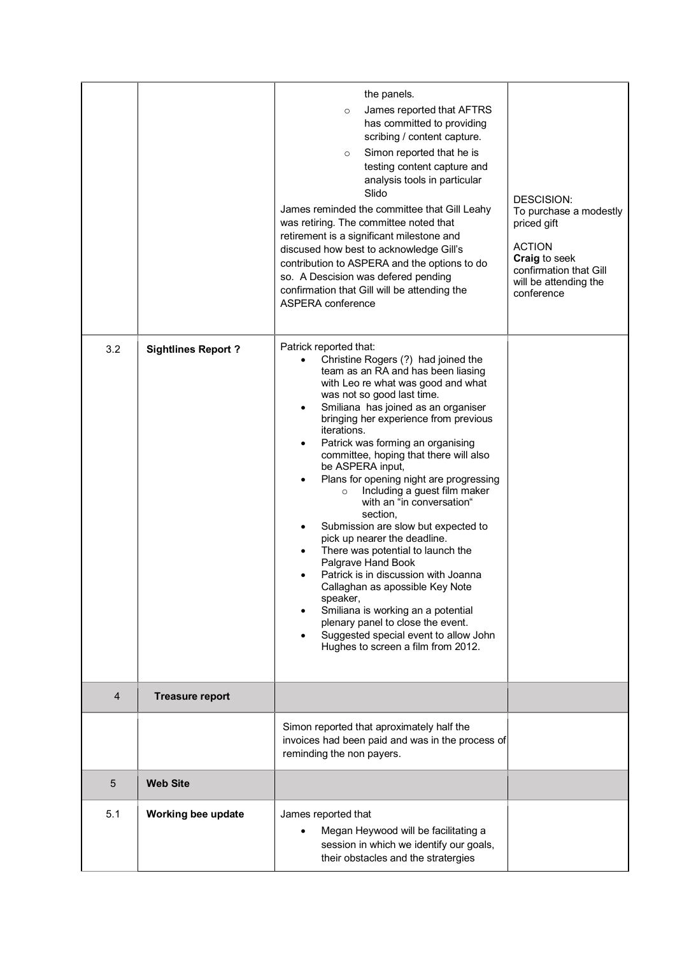|     |                           | the panels.<br>James reported that AFTRS<br>$\circ$<br>has committed to providing<br>scribing / content capture.<br>Simon reported that he is<br>$\circ$<br>testing content capture and<br>analysis tools in particular<br>Slido<br>James reminded the committee that Gill Leahy<br>was retiring. The committee noted that<br>retirement is a significant milestone and<br>discused how best to acknowledge Gill's<br>contribution to ASPERA and the options to do<br>so. A Descision was defered pending<br>confirmation that Gill will be attending the<br>ASPERA conference                                                                                                                                                                                                                                                                                                                   | DESCISION:<br>To purchase a modestly<br>priced gift<br><b>ACTION</b><br>Craig to seek<br>confirmation that Gill<br>will be attending the<br>conference |
|-----|---------------------------|--------------------------------------------------------------------------------------------------------------------------------------------------------------------------------------------------------------------------------------------------------------------------------------------------------------------------------------------------------------------------------------------------------------------------------------------------------------------------------------------------------------------------------------------------------------------------------------------------------------------------------------------------------------------------------------------------------------------------------------------------------------------------------------------------------------------------------------------------------------------------------------------------|--------------------------------------------------------------------------------------------------------------------------------------------------------|
| 3.2 | <b>Sightlines Report?</b> | Patrick reported that:<br>Christine Rogers (?) had joined the<br>team as an RA and has been liasing<br>with Leo re what was good and what<br>was not so good last time.<br>Smiliana has joined as an organiser<br>٠<br>bringing her experience from previous<br>iterations.<br>Patrick was forming an organising<br>committee, hoping that there will also<br>be ASPERA input,<br>Plans for opening night are progressing<br>Including a guest film maker<br>$\circ$<br>with an "in conversation"<br>section,<br>Submission are slow but expected to<br>pick up nearer the deadline.<br>There was potential to launch the<br>Palgrave Hand Book<br>Patrick is in discussion with Joanna<br>Callaghan as apossible Key Note<br>speaker,<br>Smiliana is working an a potential<br>plenary panel to close the event.<br>Suggested special event to allow John<br>Hughes to screen a film from 2012. |                                                                                                                                                        |
| 4   | <b>Treasure report</b>    |                                                                                                                                                                                                                                                                                                                                                                                                                                                                                                                                                                                                                                                                                                                                                                                                                                                                                                  |                                                                                                                                                        |
|     |                           | Simon reported that aproximately half the<br>invoices had been paid and was in the process of<br>reminding the non payers.                                                                                                                                                                                                                                                                                                                                                                                                                                                                                                                                                                                                                                                                                                                                                                       |                                                                                                                                                        |
| 5   | <b>Web Site</b>           |                                                                                                                                                                                                                                                                                                                                                                                                                                                                                                                                                                                                                                                                                                                                                                                                                                                                                                  |                                                                                                                                                        |
| 5.1 | Working bee update        | James reported that<br>Megan Heywood will be facilitating a<br>session in which we identify our goals,<br>their obstacles and the stratergies                                                                                                                                                                                                                                                                                                                                                                                                                                                                                                                                                                                                                                                                                                                                                    |                                                                                                                                                        |